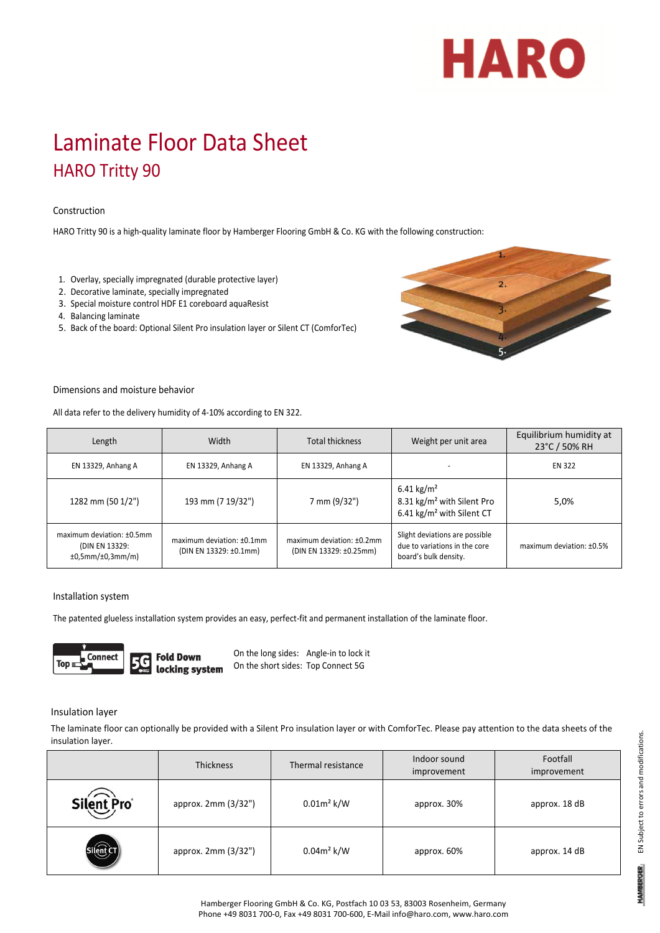# HARO

# Laminate Floor Data Sheet HARO Tritty 90

# Construction

HARO Tritty 90 is a high‐quality laminate floor by Hamberger Flooring GmbH & Co. KG with the following construction:

- 1. Overlay, specially impregnated (durable protective layer)
- 2. Decorative laminate, specially impregnated
- 3. Special moisture control HDF E1 coreboard aquaResist
- 4. Balancing laminate
- 5. Back of the board: Optional Silent Pro insulation layer or Silent CT (ComforTec)



#### Dimensions and moisture behavior

All data refer to the delivery humidity of 4‐10% according to EN 322.

| Length                                                          | Width                                                  | Total thickness                                      | Weight per unit area                                                                                      | Equilibrium humidity at<br>23°C / 50% RH |
|-----------------------------------------------------------------|--------------------------------------------------------|------------------------------------------------------|-----------------------------------------------------------------------------------------------------------|------------------------------------------|
| EN 13329, Anhang A                                              | EN 13329, Anhang A                                     | EN 13329, Anhang A                                   |                                                                                                           | <b>EN 322</b>                            |
| 1282 mm (50 1/2")                                               | 193 mm (7 19/32")                                      | 7 mm (9/32")                                         | 6.41 kg/m <sup>2</sup><br>8.31 kg/m <sup>2</sup> with Silent Pro<br>6.41 kg/m <sup>2</sup> with Silent CT | 5,0%                                     |
| maximum deviation: ±0.5mm<br>(DIN EN 13329:<br>±0,5mm/±0,3mm/m) | maximum deviation: $±0.1$ mm<br>(DIN EN 13329: ±0.1mm) | maximum deviation: ±0.2mm<br>(DIN EN 13329: ±0.25mm) | Slight deviations are possible<br>due to variations in the core<br>board's bulk density.                  | maximum deviation: ±0.5%                 |

#### Installation system

The patented glueless installation system provides an easy, perfect-fit and permanent installation of the laminate floor.



On the long sides: Angle‐in to lock it On the short sides: Top Connect 5G

### Insulation layer

The laminate floor can optionally be provided with a Silent Pro insulation layer or with ComforTec. Please pay attention to the data sheets of the insulation layer.

|            | <b>Thickness</b>    | Thermal resistance | Indoor sound<br>improvement | Footfall<br>improvement |
|------------|---------------------|--------------------|-----------------------------|-------------------------|
| Silent Pro | approx. 2mm (3/32") | $0.01m^2$ k/W      | approx. 30%                 | approx. 18 dB           |
|            | approx. 2mm (3/32") | $0.04m^2$ k/W      | approx. 60%                 | approx. 14 dB           |